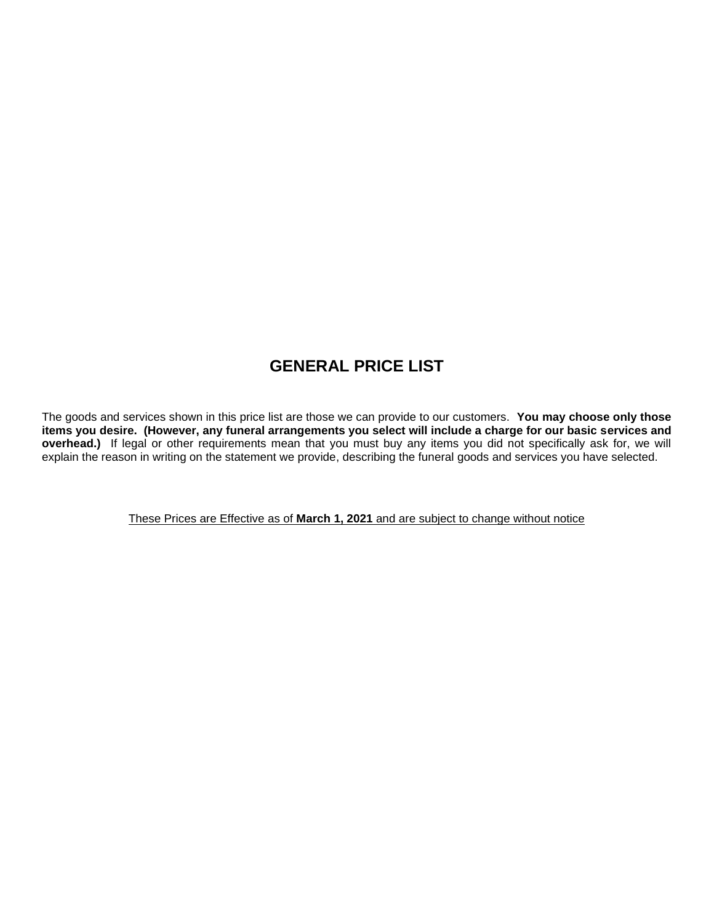# **GENERAL PRICE LIST**

The goods and services shown in this price list are those we can provide to our customers. **You may choose only those items you desire. (However, any funeral arrangements you select will include a charge for our basic services and overhead.)** If legal or other requirements mean that you must buy any items you did not specifically ask for, we will explain the reason in writing on the statement we provide, describing the funeral goods and services you have selected.

These Prices are Effective as of **March 1, 2021** and are subject to change without notice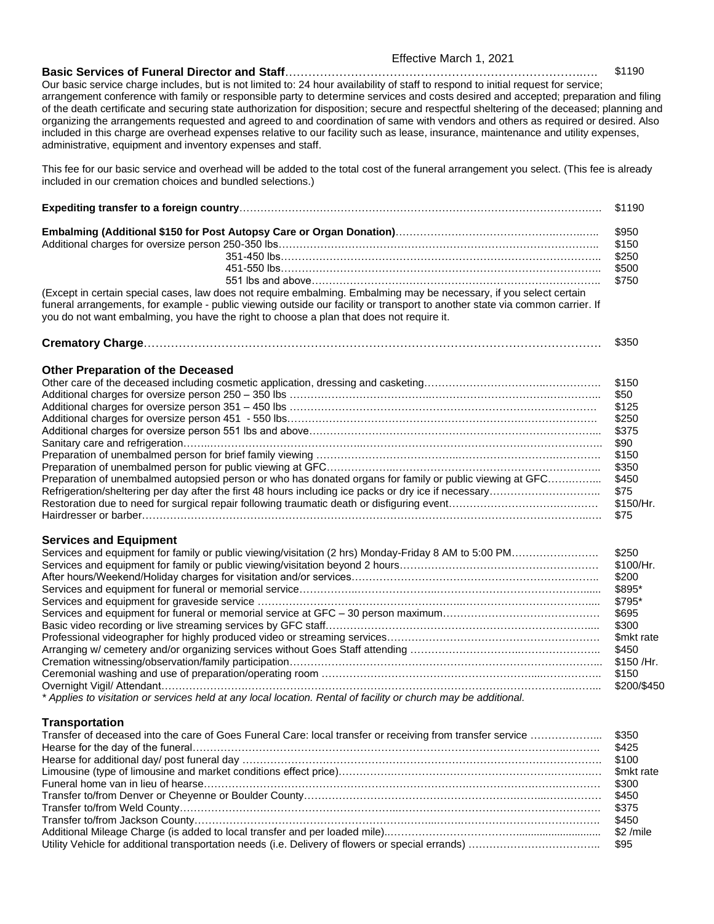#### Effective March 1, 2021

**Basic Services of Funeral Director and Staff**…………………………………………………………………..…. \$1190 Our basic service charge includes, but is not limited to: 24 hour availability of staff to respond to initial request for service; arrangement conference with family or responsible party to determine services and costs desired and accepted; preparation and filing of the death certificate and securing state authorization for disposition; secure and respectful sheltering of the deceased; planning and organizing the arrangements requested and agreed to and coordination of same with vendors and others as required or desired. Also included in this charge are overhead expenses relative to our facility such as lease, insurance, maintenance and utility expenses, administrative, equipment and inventory expenses and staff.

This fee for our basic service and overhead will be added to the total cost of the funeral arrangement you select. (This fee is already included in our cremation choices and bundled selections.)

|                                                                                                                                                                                                                                                                                                                                                 | \$1190                                                                                                           |
|-------------------------------------------------------------------------------------------------------------------------------------------------------------------------------------------------------------------------------------------------------------------------------------------------------------------------------------------------|------------------------------------------------------------------------------------------------------------------|
|                                                                                                                                                                                                                                                                                                                                                 | \$950<br>\$150<br>\$250<br>\$500<br>\$750                                                                        |
| (Except in certain special cases, law does not require embalming. Embalming may be necessary, if you select certain<br>funeral arrangements, for example - public viewing outside our facility or transport to another state via common carrier. If<br>you do not want embalming, you have the right to choose a plan that does not require it. |                                                                                                                  |
|                                                                                                                                                                                                                                                                                                                                                 | \$350                                                                                                            |
| <b>Other Preparation of the Deceased</b><br>Preparation of unembalmed autopsied person or who has donated organs for family or public viewing at GFC<br>Refrigeration/sheltering per day after the first 48 hours including ice packs or dry ice if necessary                                                                                   | \$150<br>\$50<br>\$125<br>\$250<br>\$375<br>\$90<br>\$150<br>\$350<br>\$450<br>\$75<br>\$150/Hr.<br>\$75         |
| <b>Services and Equipment</b><br>Services and equipment for family or public viewing/visitation (2 hrs) Monday-Friday 8 AM to 5:00 PM                                                                                                                                                                                                           | \$250<br>\$100/Hr.<br>\$200<br>\$895*<br>\$795*<br>\$695<br>\$300<br>\$mkt rate<br>\$450<br>\$150 / Hr.<br>\$150 |

## **Transportation**

Overnight Vigil/ Attendant…………………….………………………………………………………………………………...……... \$200/\$450

*\* Applies to visitation or services held at any local location. Rental of facility or church may be additional.*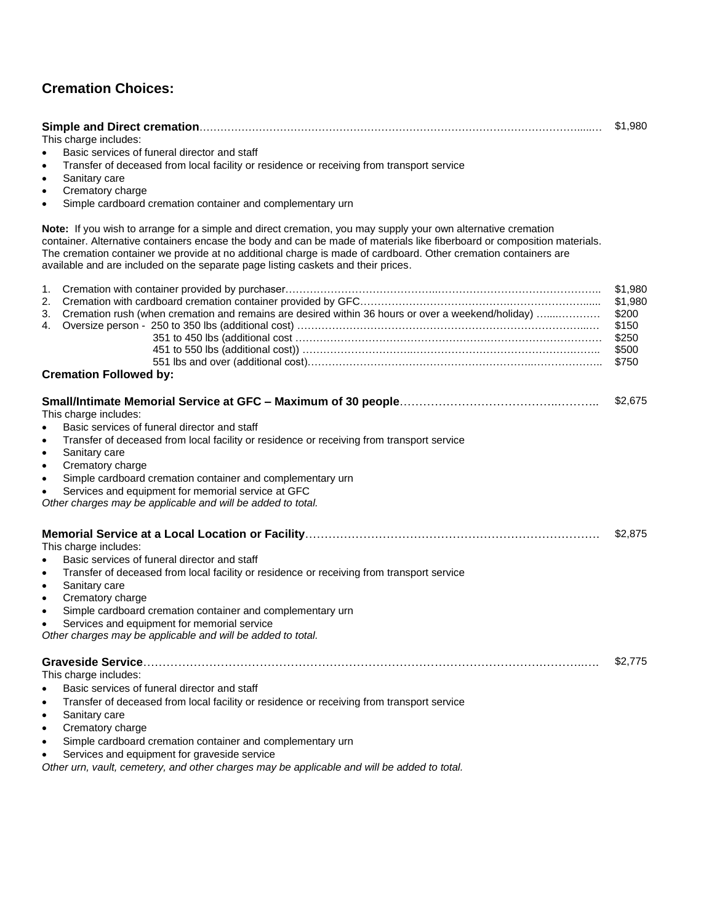## **Cremation Choices:**

|                                                                                                                          | \$1,980 |
|--------------------------------------------------------------------------------------------------------------------------|---------|
| This charge includes:                                                                                                    |         |
| Basic services of funeral director and staff                                                                             |         |
| Transfer of deceased from local facility or residence or receiving from transport service                                |         |
| Sanitary care<br>$\bullet$                                                                                               |         |
| Crematory charge<br>٠                                                                                                    |         |
| Simple cardboard cremation container and complementary urn                                                               |         |
| Note: If you wish to arrange for a simple and direct cremation, you may supply your own alternative cremation            |         |
| container. Alternative containers encase the body and can be made of materials like fiberboard or composition materials. |         |
| The cremation container we provide at no additional charge is made of cardboard. Other cremation containers are          |         |
| available and are included on the separate page listing caskets and their prices.                                        |         |
| 1.                                                                                                                       | \$1,980 |
| 2.                                                                                                                       | \$1,980 |
| 3. Cremation rush (when cremation and remains are desired within 36 hours or over a weekend/holiday)                     | \$200   |
| 4.                                                                                                                       | \$150   |
|                                                                                                                          | \$250   |
|                                                                                                                          | \$500   |
|                                                                                                                          | \$750   |
| <b>Cremation Followed by:</b>                                                                                            |         |
| This charge includes:                                                                                                    | \$2,675 |
| Basic services of funeral director and staff                                                                             |         |
| Transfer of deceased from local facility or residence or receiving from transport service<br>$\bullet$                   |         |
| Sanitary care<br>٠                                                                                                       |         |
| Crematory charge                                                                                                         |         |
| Simple cardboard cremation container and complementary urn<br>$\bullet$                                                  |         |
| Services and equipment for memorial service at GFC<br>Other charges may be applicable and will be added to total.        |         |
|                                                                                                                          |         |
|                                                                                                                          | \$2,875 |
| This charge includes:                                                                                                    |         |
| Basic services of funeral director and staff<br>$\bullet$                                                                |         |
| Transfer of deceased from local facility or residence or receiving from transport service<br>$\bullet$                   |         |
| Sanitary care<br>$\bullet$                                                                                               |         |
| Crematory charge<br>$\bullet$                                                                                            |         |
| Simple cardboard cremation container and complementary urn<br>$\bullet$                                                  |         |
| Services and equipment for memorial service                                                                              |         |
| Other charges may be applicable and will be added to total.                                                              |         |
|                                                                                                                          | \$2,775 |
| This charge includes:                                                                                                    |         |
| Basic services of funeral director and staff                                                                             |         |
| Transfer of deceased from local facility or residence or receiving from transport service<br>$\bullet$                   |         |
|                                                                                                                          |         |

- Sanitary care
- Crematory charge
- Simple cardboard cremation container and complementary urn
- Services and equipment for graveside service

*Other urn, vault, cemetery, and other charges may be applicable and will be added to total.*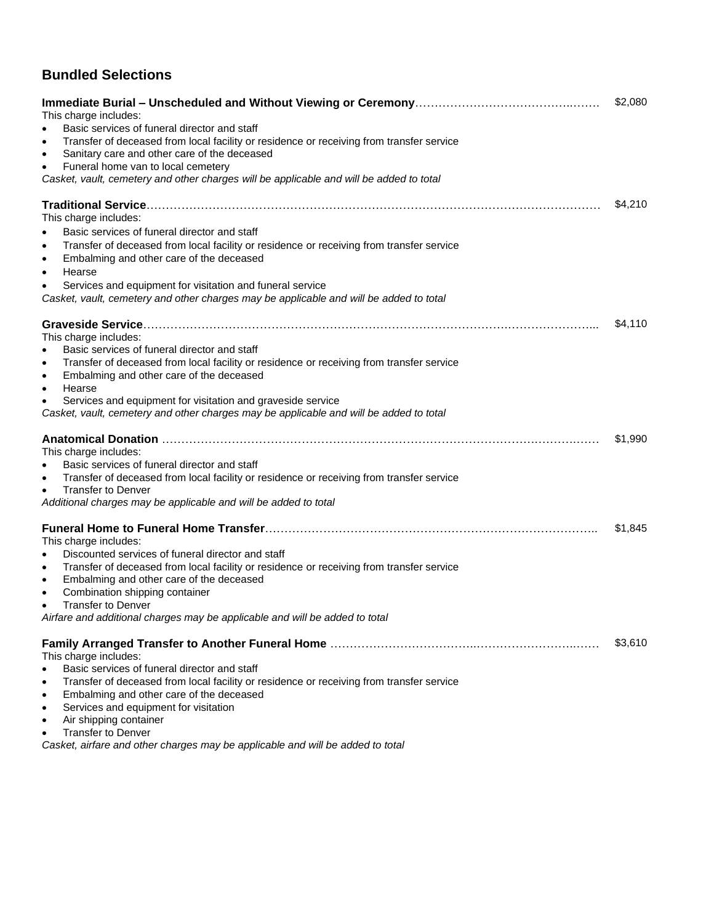## **Bundled Selections**

| This charge includes:<br>Basic services of funeral director and staff<br>Transfer of deceased from local facility or residence or receiving from transfer service<br>$\bullet$<br>Sanitary care and other care of the deceased<br>$\bullet$<br>Funeral home van to local cemetery<br>$\bullet$<br>Casket, vault, cemetery and other charges will be applicable and will be added to total                                                                                     | \$2,080 |
|-------------------------------------------------------------------------------------------------------------------------------------------------------------------------------------------------------------------------------------------------------------------------------------------------------------------------------------------------------------------------------------------------------------------------------------------------------------------------------|---------|
| This charge includes:<br>Basic services of funeral director and staff<br>$\bullet$                                                                                                                                                                                                                                                                                                                                                                                            | \$4,210 |
| Transfer of deceased from local facility or residence or receiving from transfer service<br>$\bullet$<br>Embalming and other care of the deceased<br>$\bullet$<br>Hearse<br>$\bullet$                                                                                                                                                                                                                                                                                         |         |
| Services and equipment for visitation and funeral service<br>$\bullet$<br>Casket, vault, cemetery and other charges may be applicable and will be added to total                                                                                                                                                                                                                                                                                                              |         |
| This charge includes:<br>Basic services of funeral director and staff<br>Transfer of deceased from local facility or residence or receiving from transfer service<br>$\bullet$<br>Embalming and other care of the deceased<br>$\bullet$<br>Hearse<br>$\bullet$<br>Services and equipment for visitation and graveside service<br>Casket, vault, cemetery and other charges may be applicable and will be added to total                                                       | \$4,110 |
| This charge includes:<br>Basic services of funeral director and staff<br>Transfer of deceased from local facility or residence or receiving from transfer service<br><b>Transfer to Denver</b><br>$\bullet$<br>Additional charges may be applicable and will be added to total                                                                                                                                                                                                | \$1,990 |
| This charge includes:<br>Discounted services of funeral director and staff<br>Transfer of deceased from local facility or residence or receiving from transfer service<br>$\bullet$<br>Embalming and other care of the deceased<br>$\bullet$<br>Combination shipping container<br>$\bullet$<br><b>Transfer to Denver</b><br>Airfare and additional charges may be applicable and will be added to total                                                                       | \$1,845 |
| This charge includes:<br>Basic services of funeral director and staff<br>$\bullet$<br>Transfer of deceased from local facility or residence or receiving from transfer service<br>$\bullet$<br>Embalming and other care of the deceased<br>$\bullet$<br>Services and equipment for visitation<br>$\bullet$<br>Air shipping container<br>$\bullet$<br><b>Transfer to Denver</b><br>$\bullet$<br>Casket, airfare and other charges may be applicable and will be added to total | \$3,610 |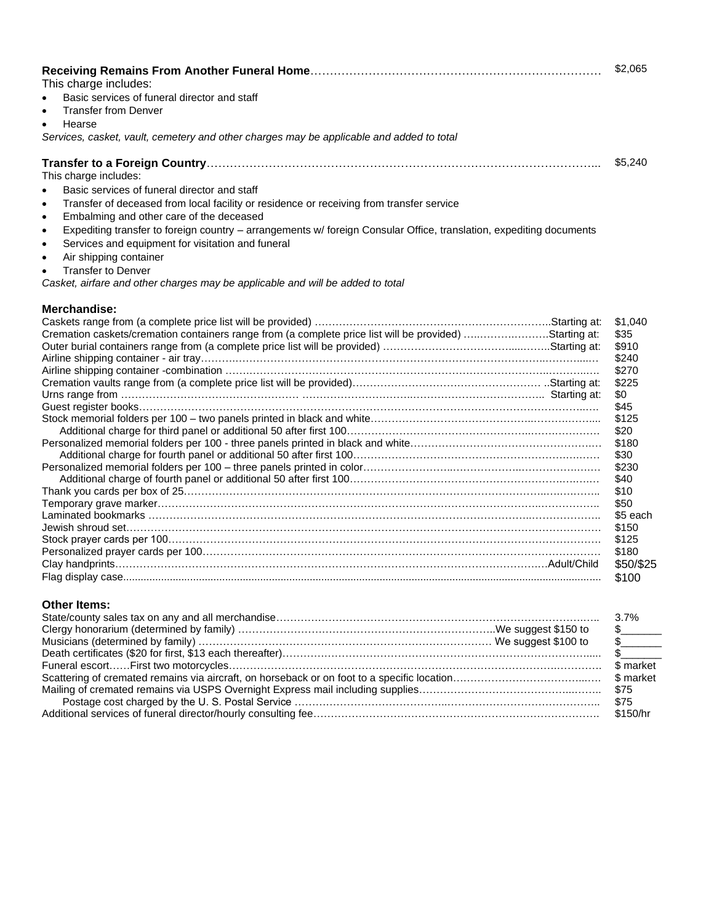| This charge includes:                                                                                                            | \$2,065      |
|----------------------------------------------------------------------------------------------------------------------------------|--------------|
| Basic services of funeral director and staff<br>$\bullet$                                                                        |              |
| <b>Transfer from Denver</b><br>$\bullet$                                                                                         |              |
| Hearse<br>$\bullet$                                                                                                              |              |
| Services, casket, vault, cemetery and other charges may be applicable and added to total                                         |              |
|                                                                                                                                  | \$5.240      |
| This charge includes:                                                                                                            |              |
| Basic services of funeral director and staff<br>$\bullet$                                                                        |              |
| Transfer of deceased from local facility or residence or receiving from transfer service<br>$\bullet$                            |              |
| Embalming and other care of the deceased<br>$\bullet$                                                                            |              |
| Expediting transfer to foreign country - arrangements w/ foreign Consular Office, translation, expediting documents<br>$\bullet$ |              |
| Services and equipment for visitation and funeral<br>$\bullet$                                                                   |              |
| Air shipping container<br>$\bullet$                                                                                              |              |
| <b>Transfer to Denver</b>                                                                                                        |              |
| Casket, airfare and other charges may be applicable and will be added to total                                                   |              |
|                                                                                                                                  |              |
| Merchandise:                                                                                                                     |              |
|                                                                                                                                  | \$1,040      |
| Cremation caskets/cremation containers range from (a complete price list will be provided) Starting at:                          | \$35         |
|                                                                                                                                  | \$910        |
|                                                                                                                                  | \$240        |
|                                                                                                                                  | \$270        |
|                                                                                                                                  | \$225        |
|                                                                                                                                  | \$0          |
|                                                                                                                                  | \$45         |
|                                                                                                                                  | \$125        |
|                                                                                                                                  | \$20         |
|                                                                                                                                  | \$180        |
|                                                                                                                                  | \$30         |
|                                                                                                                                  | \$230        |
|                                                                                                                                  | \$40<br>\$10 |
|                                                                                                                                  | \$50         |
|                                                                                                                                  | \$5 each     |
|                                                                                                                                  | \$150        |
|                                                                                                                                  | \$125        |
|                                                                                                                                  | \$180        |
|                                                                                                                                  | \$50/\$25    |
|                                                                                                                                  | \$100        |
|                                                                                                                                  |              |

## **Other Items:**

| $\frac{1}{2}$ |
|---------------|
| $\mathbb{S}$  |
|               |
|               |
|               |
|               |
|               |
|               |